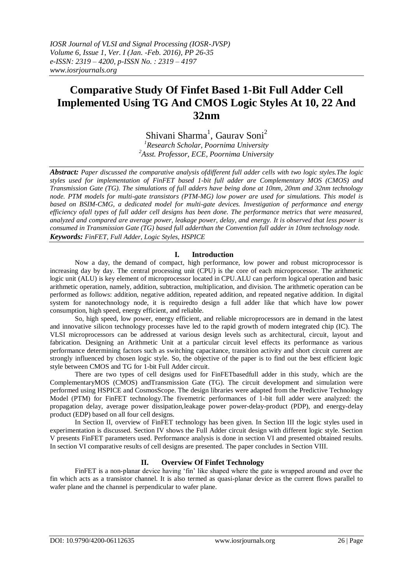# **Comparative Study Of Finfet Based 1-Bit Full Adder Cell Implemented Using TG And CMOS Logic Styles At 10, 22 And 32nm**

Shivani Sharma<sup>1</sup>, Gaurav Soni<sup>2</sup> *<sup>1</sup>Research Scholar, Poornima University <sup>2</sup>Asst. Professor, ECE, Poornima University*

*Abstract: Paper discussed the comparative analysis ofdifferent full adder cells with two logic styles.The logic styles used for implementation of FinFET based 1-bit full adder are Complementary MOS (CMOS) and Transmission Gate (TG). The simulations of full adders have being done at 10nm, 20nm and 32nm technology node. PTM models for multi-gate transistors (PTM-MG) low power are used for simulations. This model is based on [BSIM-CMG,](http://www-device.eecs.berkeley.edu/bsim/?page=BSIMCMG) a dedicated model for multi-gate devices. Investigation of performance and energy efficiency ofall types of full adder cell designs has been done. The performance metrics that were measured, analyzed and compared are average power, leakage power, delay, and energy. It is observed that less power is consumed in Transmission Gate (TG) based full adderthan the Convention full adder in 10nm technology node. Keywords: FinFET, Full Adder, Logic Styles, HSPICE*

## **I. Introduction**

Now a day, the demand of compact, high performance, low power and robust microprocessor is increasing day by day. The central processing unit (CPU) is the core of each microprocessor. The arithmetic logic unit (ALU) is key element of microprocessor located in CPU.ALU can perform logical operation and basic arithmetic operation, namely, addition, subtraction, multiplication, and division. The arithmetic operation can be performed as follows: addition, negative addition, repeated addition, and repeated negative addition. In digital system for nanotechnology node, it is requiredto design a full adder like that which have low power consumption, high speed, energy efficient, and reliable.

So, high speed, low power, energy efficient, and reliable microprocessors are in demand in the latest and innovative silicon technology processes have led to the rapid growth of modern integrated chip (IC). The VLSI microprocessors can be addressed at various design levels such as architectural, circuit, layout and fabrication. Designing an Arithmetic Unit at a particular circuit level effects its performance as various performance determining factors such as switching capacitance, transition activity and short circuit current are strongly influenced by chosen logic style. So, the objective of the paper is to find out the best efficient logic style between CMOS and TG for 1-bit Full Adder circuit.

There are two types of cell designs used for FinFETbasedfull adder in this study, which are the ComplementaryMOS (CMOS) andTransmission Gate (TG). The circuit development and simulation were performed using HSPICE and CosmosScope. The design libraries were adapted from the Predictive Technology Model (PTM) for FinFET technology.The fivemetric performances of 1-bit full adder were analyzed: the propagation delay, average power dissipation,leakage power power-delay-product (PDP), and energy-delay product (EDP) based on all four cell designs.

In Section II, overview of FinFET technology has been given. In Section III the logic styles used in experimentation is discussed. Section IV shows the Full Adder circuit design with different logic style. Section V presents FinFET parameters used. Performance analysis is done in section VI and presented obtained results. In section VI comparative results of cell designs are presented. The paper concludes in Section VIII.

## **II. Overview Of Finfet Technology**

FinFET is a non-planar device having 'fin' like shaped where the gate is wrapped around and over the fin which acts as a transistor channel. It is also termed as quasi-planar device as the current flows parallel to wafer plane and the channel is perpendicular to wafer plane.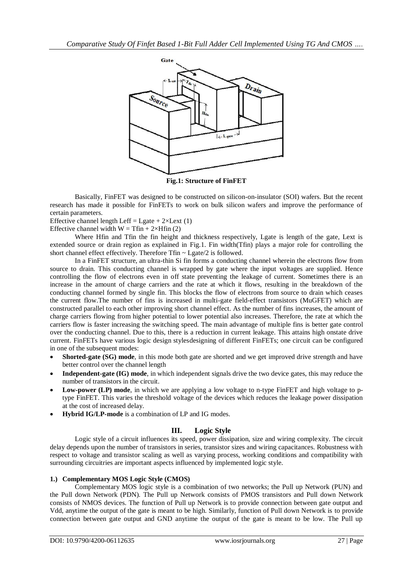

**Fig.1: Structure of FinFET**

Basically, FinFET was designed to be constructed on silicon-on-insulator (SOI) wafers. But the recent research has made it possible for FinFETs to work on bulk silicon wafers and improve the performance of certain parameters.

Effective channel length Leff = Lgate +  $2 \times$ Lext (1)

Effective channel width  $W = Tfin + 2 \times Hfin (2)$ 

Where Hfin and Tfin the fin height and thickness respectively, Lgate is length of the gate, Lext is extended source or drain region as explained in Fig.1. Fin width(Tfin) plays a major role for controlling the short channel effect effectively. Therefore Tfin ~ Lgate/2 is followed.

In a FinFET structure, an ultra-thin Si fin forms a conducting channel wherein the electrons flow from source to drain. This conducting channel is wrapped by gate where the input voltages are supplied. Hence controlling the flow of electrons even in off state preventing the leakage of current. Sometimes there is an increase in the amount of charge carriers and the rate at which it flows, resulting in the breakdown of the conducting channel formed by single fin. This blocks the flow of electrons from source to drain which ceases the current flow.The number of fins is increased in multi-gate field-effect transistors (MuGFET) which are constructed parallel to each other improving short channel effect. As the number of fins increases, the amount of charge carriers flowing from higher potential to lower potential also increases. Therefore, the rate at which the carriers flow is faster increasing the switching speed. The main advantage of multiple fins is better gate control over the conducting channel. Due to this, there is a reduction in current leakage. This attains high onstate drive current. FinFETs have various logic design stylesdesigning of different FinFETs; one circuit can be configured in one of the subsequent modes:

- **Shorted-gate (SG) mode**, in this mode both gate are shorted and we get improved drive strength and have better control over the channel length
- **Independent-gate (IG) mode**, in which independent signals drive the two device gates, this may reduce the number of transistors in the circuit.
- **Low-power (LP) mode**, in which we are applying a low voltage to n-type FinFET and high voltage to ptype FinFET. This varies the threshold voltage of the devices which reduces the leakage power dissipation at the cost of increased delay.
- **Hybrid IG/LP-mode** is a combination of LP and IG modes.

## **III. Logic Style**

Logic style of a circuit influences its speed, power dissipation, size and wiring complexity. The circuit delay depends upon the number of transistors in series, transistor sizes and wiring capacitances. Robustness with respect to voltage and transistor scaling as well as varying process, working conditions and compatibility with surrounding circuitries are important aspects influenced by implemented logic style.

## **1.) Complementary MOS Logic Style (CMOS)**

Complementary MOS logic style is a combination of two networks; the Pull up Network (PUN) and the Pull down Network (PDN). The Pull up Network consists of PMOS transistors and Pull down Network consists of NMOS devices. The function of Pull up Network is to provide connection between gate output and Vdd, anytime the output of the gate is meant to be high. Similarly, function of Pull down Network is to provide connection between gate output and GND anytime the output of the gate is meant to be low. The Pull up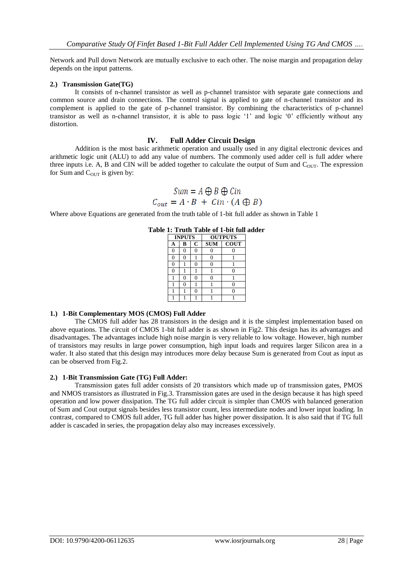Network and Pull down Network are mutually exclusive to each other. The noise margin and propagation delay depends on the input patterns.

## **2.) Transmission Gate(TG)**

It consists of n-channel transistor as well as p-channel transistor with separate gate connections and common source and drain connections. The control signal is applied to gate of n-channel transistor and its complement is applied to the gate of p-channel transistor. By combining the characteristics of p-channel transistor as well as n-channel transistor, it is able to pass logic ‗1' and logic ‗0' efficiently without any distortion.

## **IV. Full Adder Circuit Design**

Addition is the most basic arithmetic operation and usually used in any digital electronic devices and arithmetic logic unit (ALU) to add any value of numbers. The commonly used adder cell is full adder where three inputs i.e. A, B and CIN will be added together to calculate the output of Sum and  $C<sub>OUT</sub>$ . The expression for Sum and  $C<sub>OUT</sub>$  is given by:

$$
Sum = A \oplus B \oplus Cin
$$

$$
C_{out} = A \cdot B + Cin \cdot (A \oplus B)
$$

Where above Equations are generated from the truth table of 1-bit full adder as shown in Table 1

| <b>INPUTS</b> |   |              | <b>OUTPUTS</b> |             |  |
|---------------|---|--------------|----------------|-------------|--|
| Α             | в | $\mathbf{C}$ | <b>SUM</b>     | <b>COUT</b> |  |
|               |   |              |                |             |  |
| ∩             |   |              |                |             |  |
| ∩             |   |              |                |             |  |
|               |   |              |                |             |  |
|               |   |              |                |             |  |
|               |   |              |                |             |  |
|               |   |              |                |             |  |
|               |   |              |                |             |  |

## **Table 1: Truth Table of 1-bit full adder**

## **1.) 1-Bit Complementary MOS (CMOS) Full Adder**

The CMOS full adder has 28 transistors in the design and it is the simplest implementation based on above equations. The circuit of CMOS 1-bit full adder is as shown in Fig2. This design has its advantages and disadvantages. The advantages include high noise margin is very reliable to low voltage. However, high number of transistors may results in large power consumption, high input loads and requires larger Silicon area in a wafer. It also stated that this design may introduces more delay because Sum is generated from Cout as input as can be observed from Fig.2.

## **2.) 1-Bit Transmission Gate (TG) Full Adder:**

Transmission gates full adder consists of 20 transistors which made up of transmission gates, PMOS and NMOS transistors as illustrated in Fig.3. Transmission gates are used in the design because it has high speed operation and low power dissipation. The TG full adder circuit is simpler than CMOS with balanced generation of Sum and Cout output signals besides less transistor count, less intermediate nodes and lower input loading. In contrast, compared to CMOS full adder, TG full adder has higher power dissipation. It is also said that if TG full adder is cascaded in series, the propagation delay also may increases excessively.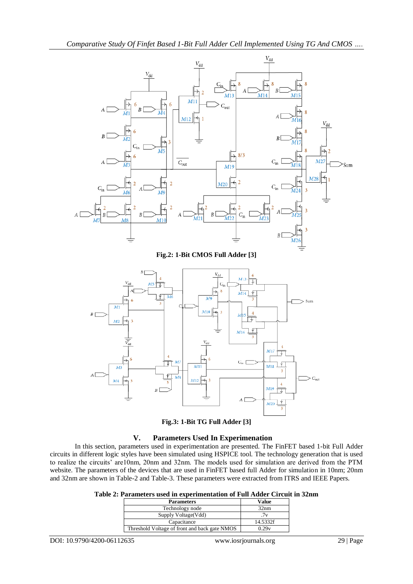



## **V. Parameters Used In Experimenation**

In this section, parameters used in experimentation are presented. The FinFET based 1-bit Full Adder circuits in different logic styles have been simulated using HSPICE tool. The technology generation that is used to realize the circuits' are10nm, 20nm and 32nm. The models used for simulation are derived from the PTM website. The parameters of the devices that are used in FinFET based full Adder for simulation in 10nm; 20nm and 32nm are shown in Table-2 and Table-3. These parameters were extracted from ITRS and IEEE Papers.

|  |  |  | Table 2: Parameters used in experimentation of Full Adder Circuit in 32nm |  |  |  |  |  |  |  |  |
|--|--|--|---------------------------------------------------------------------------|--|--|--|--|--|--|--|--|
|--|--|--|---------------------------------------------------------------------------|--|--|--|--|--|--|--|--|

| <b>Parameters</b>                             | Value    |
|-----------------------------------------------|----------|
| Technology node                               | 32nm     |
| Supply Voltage (Vdd)                          | 7ν       |
| Capacitance                                   | 14.5332f |
| Threshold Voltage of front and back gate NMOS | 0.29v    |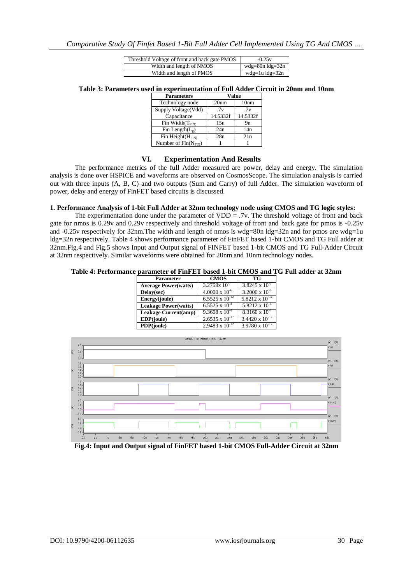| Threshold Voltage of front and back gate PMOS | $-0.25v$               |
|-----------------------------------------------|------------------------|
| Width and length of NMOS                      | wdg=80n $ldg=32n$      |
| Width and length of PMOS                      | wdg=1u $\text{lg}=32n$ |

**Table 3: Parameters used in experimentation of Full Adder Circuit in 20nm and 10nm**

| <b>Parameters</b>                                |          | Value            |
|--------------------------------------------------|----------|------------------|
| Technology node                                  | 20nm     | 10nm             |
| Supply Voltage(Vdd)                              | .7v      | .7v              |
| Capacitance                                      | 14.5332f | 14.5332f         |
| $\overline{\text{Fin}}$ Width $(T_{\text{FIN}})$ | 15n      | 9n               |
| Fin Length $(L_{\varphi})$                       | 24n      | 14n              |
| Fin Height $(H_{\text{FIN}})$                    | 28n      | 2.1 <sub>n</sub> |
| Number of $Fin(N_{FIN})$                         |          |                  |

## **VI. Experimentation And Results**

The performance metrics of the full Adder measured are power, delay and energy. The simulation analysis is done over HSPICE and waveforms are observed on CosmosScope. The simulation analysis is carried out with three inputs (A, B, C) and two outputs (Sum and Carry) of full Adder. The simulation waveform of power, delay and energy of FinFET based circuits is discussed.

## **1. Performance Analysis of 1-bit Full Adder at 32nm technology node using CMOS and TG logic styles:**

The experimentation done under the parameter of VDD = .7v. The threshold voltage of front and back gate for nmos is 0.29v and 0.29v respectively and threshold voltage of front and back gate for pmos is -0.25v and -0.25v respectively for 32nm. The width and length of nmos is wdg=80n ldg=32n and for pmos are wdg=1u ldg=32n respectively. Table 4 shows performance parameter of FinFET based 1-bit CMOS and TG Full adder at 32nm.Fig.4 and Fig.5 shows Input and Output signal of FINFET based 1-bit CMOS and TG Full-Adder Circuit at 32nm respectively. Similar waveforms were obtained for 20nm and 10nm technology nodes.

| Table 4: Performance parameter of FinFET based 1-bit CMOS and TG Full adder at 32nm |  |
|-------------------------------------------------------------------------------------|--|
|-------------------------------------------------------------------------------------|--|

| Parameter                   | <b>CMOS</b>                         | TG                       |
|-----------------------------|-------------------------------------|--------------------------|
| <b>Average Power(watts)</b> | $3.2759x 10^{-7}$                   | 3.8245 x $10^{-7}$       |
| Delay(sec)                  | $4.0000 \times 10^{-6}$             | $3.2000 \times 10^{-6}$  |
| Energy(joule)               | $6.5\overline{525 \times 10^{-12}}$ | $5.8212 \times 10^{-12}$ |
| <b>Leakage Power(watts)</b> | $6.5525 \times 10^{-4}$             | $5.8212 \times 10^{-4}$  |
| Leakage Current(amp)        | $9.3608 \times 10^{-4}$             | $8.3160 \times 10^{-4}$  |
| EDP(joule)                  | $2.6535 \times 10^{-17}$            | $3.4420 \times 10^{-12}$ |
| PDP(joule)                  | $2.9483 \times 10^{-12}$            | $3.9780 \times 10^{-17}$ |



**Fig.4: Input and Output signal of FinFET based 1-bit CMOS Full-Adder Circuit at 32nm**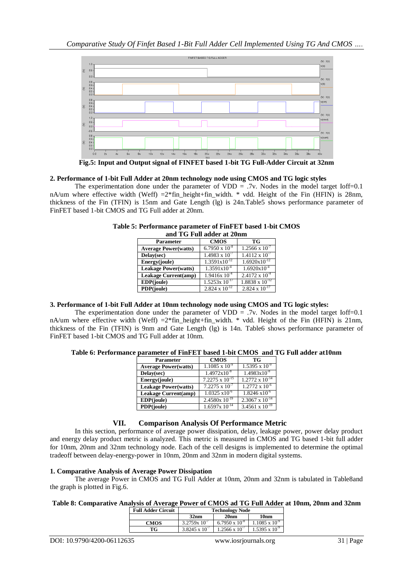

**Fig.5: Input and Output signal of FINFET based 1-bit TG Full-Adder Circuit at 32nm**

## **2. Performance of 1-bit Full Adder at 20nm technology node using CMOS and TG logic styles**

The experimentation done under the parameter of VDD =  $.7v$ . Nodes in the model target Ioff=0.1 nA/um where effective width (Weff) =2\*fin\_height+fin\_width. \* vdd. Height of the Fin (HFIN) is 28nm, thickness of the Fin (TFIN) is 15nm and Gate Length (lg) is 24n.Table5 shows performance parameter of FinFET based 1-bit CMOS and TG Full adder at 20nm.

|                             | and TV Fun addel at 2011. |                          |
|-----------------------------|---------------------------|--------------------------|
| <b>Parameter</b>            | <b>CMOS</b>               | TG                       |
| <b>Average Power(watts)</b> | $6.7950 \times 10^{-8}$   | $1.2566 \times 10^{-7}$  |
| Delay(sec)                  | $1.4983 \times 10^{-7}$   | $1.4112 \times 10^{-7}$  |
| Energy(joule)               | $1.3591x10^{-12}$         | $1.6920x10^{-12}$        |
| <b>Leakage Power(watts)</b> | $1.3591x10^{-4}$          | $1.6920x10^{-4}$         |
| <b>Leakage Current(amp)</b> | $1.9416x\ 10^{-4}$        | $2.4172 \times 10^{-4}$  |
| EDP(joule)                  | $1.5253x 10^{-17}$        | $1.8838 \times 10^{-12}$ |
| PDP(joule)                  | $2.824 \times 10^{-12}$   | $2.824 \times 10^{-17}$  |

| Table 5: Performance parameter of FinFET based 1-bit CMOS |
|-----------------------------------------------------------|
| and TG Full adder at 20nm                                 |

## **3. Performance of 1-bit Full Adder at 10nm technology node using CMOS and TG logic styles:**

The experimentation done under the parameter of VDD  $=$  .7v. Nodes in the model target Ioff=0.1 nA/um where effective width (Weff) =2\*fin\_height+fin\_width. \* vdd. Height of the Fin (HFIN) is 21nm, thickness of the Fin (TFIN) is 9nm and Gate Length (lg) is 14n. Table6 shows performance parameter of FinFET based 1-bit CMOS and TG Full adder at 10nm.

| Table 6: Performance parameter of FinFET based 1-bit CMOS and TG Full adder at 10nm |  |  |
|-------------------------------------------------------------------------------------|--|--|
|                                                                                     |  |  |

| <b>Parameter</b>            | <b>CMOS</b>              | TG                       |
|-----------------------------|--------------------------|--------------------------|
| <b>Average Power(watts)</b> | $1.1085 \times 10^{-9}$  | $1.5395 \times 10^{-9}$  |
| Delay(sec)                  | $1.4972 \times 10^{-8}$  | $1.4983 \times 10^{-8}$  |
| Energy(joule)               | $7.2275 \times 10^{-15}$ | $1.2772 \times 10^{-14}$ |
| <b>Leakage Power(watts)</b> | $7.2275 \times 10^{-7}$  | $1.2772 \times 10^{-6}$  |
| Leakage Current(amp)        | $1.0325 \times 10^{-6}$  | $1.8246 \times 10^{-6}$  |
| EDP(joule)                  | $2.4580x 10^{-19}$       | $2.3067 \times 10^{-14}$ |
| PDP(joule)                  | $1.6597x 10^{-14}$       | $3.4561 \times 10^{-19}$ |

## **VII. Comparison Analysis Of Performance Metric**

In this section, performance of average power dissipation, delay, leakage power, power delay product and energy delay product metric is analyzed. This metric is measured in CMOS and TG based 1-bit full adder for 10nm, 20nm and 32nm technology node. Each of the cell designs is implemented to determine the optimal tradeoff between delay-energy-power in 10nm, 20nm and 32nm in modern digital systems.

## **1. Comparative Analysis of Average Power Dissipation**

The average Power in CMOS and TG Full Adder at 10nm, 20nm and 32nm is tabulated in Table8and the graph is plotted in Fig.6.

## **Table 8: Comparative Analysis of Average Power of CMOS ad TG Full Adder at 10nm, 20nm and 32nm**

| <b>Full Adder Circuit</b> | <b>Technology Node</b>  |                         |                         |
|---------------------------|-------------------------|-------------------------|-------------------------|
|                           | 32nm                    | 20 <sub>nm</sub>        | 10nm                    |
| <b>CMOS</b>               | $3.2759x10^{-7}$        | $6.7950 \times 10^{-8}$ | $1.1085 \times 10^{-9}$ |
| TG                        | $3.8245 \times 10^{-7}$ | $1.2566 \times 10^{-7}$ | $1.5395 \times 10^{-9}$ |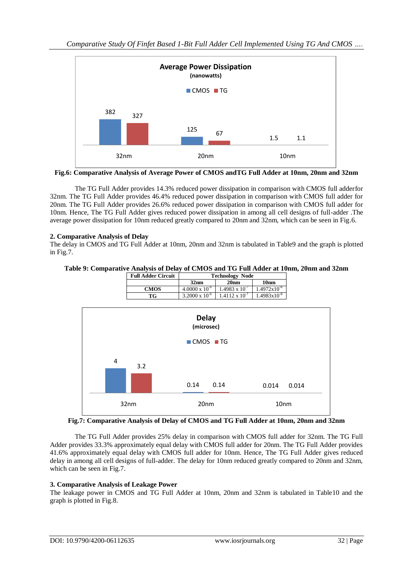

**Fig.6: Comparative Analysis of Average Power of CMOS andTG Full Adder at 10nm, 20nm and 32nm**

The TG Full Adder provides 14.3% reduced power dissipation in comparison with CMOS full adderfor 32nm. The TG Full Adder provides 46.4% reduced power dissipation in comparison with CMOS full adder for 20nm. The TG Full Adder provides 26.6% reduced power dissipation in comparison with CMOS full adder for 10nm. Hence, The TG Full Adder gives reduced power dissipation in among all cell designs of full-adder .The average power dissipation for 10nm reduced greatly compared to 20nm and 32nm, which can be seen in Fig.6.

## **2. Comparative Analysis of Delay**

The delay in CMOS and TG Full Adder at 10nm, 20nm and 32nm is tabulated in Table9 and the graph is plotted in Fig.7.





**Fig.7: Comparative Analysis of Delay of CMOS and TG Full Adder at 10nm, 20nm and 32nm**

The TG Full Adder provides 25% delay in comparison with CMOS full adder for 32nm. The TG Full Adder provides 33.3% approximately equal delay with CMOS full adder for 20nm. The TG Full Adder provides 41.6% approximately equal delay with CMOS full adder for 10nm. Hence, The TG Full Adder gives reduced delay in among all cell designs of full-adder. The delay for 10nm reduced greatly compared to 20nm and 32nm, which can be seen in Fig.7.

## **3. Comparative Analysis of Leakage Power**

The leakage power in CMOS and TG Full Adder at 10nm, 20nm and 32nm is tabulated in Table10 and the graph is plotted in Fig.8.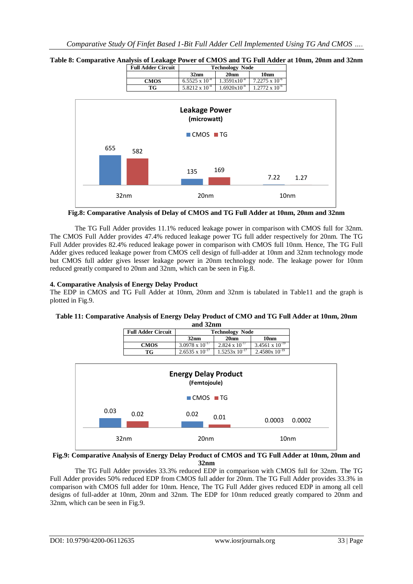

**Table 8: Comparative Analysis of Leakage Power of CMOS and TG Full Adder at 10nm, 20nm and 32nm Full Adder Circuit Technology Node**

**Fig.8: Comparative Analysis of Delay of CMOS and TG Full Adder at 10nm, 20nm and 32nm**

The TG Full Adder provides 11.1% reduced leakage power in comparison with CMOS full for 32nm. The CMOS Full Adder provides 47.4% reduced leakage power TG full adder respectively for 20nm. The TG Full Adder provides 82.4% reduced leakage power in comparison with CMOS full 10nm. Hence, The TG Full Adder gives reduced leakage power from CMOS cell design of full-adder at 10nm and 32nm technology mode but CMOS full adder gives lesser leakage power in 20nm technology node. The leakage power for 10nm reduced greatly compared to 20nm and 32nm, which can be seen in Fig.8.

## **4. Comparative Analysis of Energy Delay Product**

The EDP in CMOS and TG Full Adder at 10nm, 20nm and 32nm is tabulated in Table11 and the graph is plotted in Fig.9.

#### **Table 11: Comparative Analysis of Energy Delay Product of CMO and TG Full Adder at 10nm, 20nm and 32nm**

| anu Jemm                  |                          |                         |                          |  |
|---------------------------|--------------------------|-------------------------|--------------------------|--|
| <b>Full Adder Circuit</b> | <b>Technology Node</b>   |                         |                          |  |
|                           | 32nm                     | 20 <sub>nm</sub>        | 10nm                     |  |
| <b>CMOS</b>               | $3.0978 \times 10^{-17}$ | $2.824 \times 10^{-17}$ | $3.4561 \times 10^{-19}$ |  |
| TG                        | $2.6535 \times 10^{-17}$ | $1.5253x 10^{-17}$      | $2.4580x 10^{-19}$       |  |



## **Fig.9: Comparative Analysis of Energy Delay Product of CMOS and TG Full Adder at 10nm, 20nm and 32nm**

The TG Full Adder provides 33.3% reduced EDP in comparison with CMOS full for 32nm. The TG Full Adder provides 50% reduced EDP from CMOS full adder for 20nm. The TG Full Adder provides 33.3% in comparison with CMOS full adder for 10nm. Hence, The TG Full Adder gives reduced EDP in among all cell designs of full-adder at 10nm, 20nm and 32nm. The EDP for 10nm reduced greatly compared to 20nm and 32nm, which can be seen in Fig.9.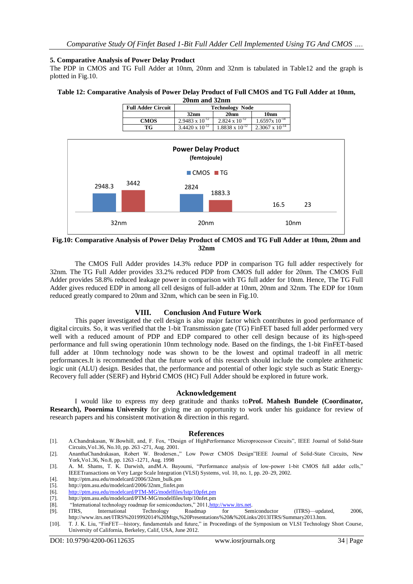### **5. Comparative Analysis of Power Delay Product**

The PDP in CMOS and TG Full Adder at 10nm, 20nm and 32nm is tabulated in Table12 and the graph is plotted in Fig.10.

#### **Table 12: Comparative Analysis of Power Delay Product of Full CMOS and TG Full Adder at 10nm, 20nm and 32nm**

| <i>д</i> унні анч <i>эд</i> інн |                          |                          |                          |  |
|---------------------------------|--------------------------|--------------------------|--------------------------|--|
| <b>Full Adder Circuit</b>       | <b>Technology Node</b>   |                          |                          |  |
|                                 | 32nm                     | 20 <sub>nm</sub>         | 10 <sub>nm</sub>         |  |
| <b>CMOS</b>                     | $2.9483 \times 10^{-12}$ | $2.824 \times 10^{-12}$  | $1.6597x$ $10^{-14}$     |  |
| TG                              | $3.4420 \times 10^{-12}$ | $1.8838 \times 10^{-12}$ | $2.3067 \times 10^{-14}$ |  |



## **Fig.10: Comparative Analysis of Power Delay Product of CMOS and TG Full Adder at 10nm, 20nm and 32nm**

The CMOS Full Adder provides 14.3% reduce PDP in comparison TG full adder respectively for 32nm. The TG Full Adder provides 33.2% reduced PDP from CMOS full adder for 20nm. The CMOS Full Adder provides 58.8% reduced leakage power in comparison with TG full adder for 10nm. Hence, The TG Full Adder gives reduced EDP in among all cell designs of full-adder at 10nm, 20nm and 32nm. The EDP for 10nm reduced greatly compared to 20nm and 32nm, which can be seen in Fig.10.

## **VIII. Conclusion And Future Work**

This paper investigated the cell design is also major factor which contributes in good performance of digital circuits. So, it was verified that the 1-bit Transmission gate (TG) FinFET based full adder performed very well with a reduced amount of PDP and EDP compared to other cell design because of its high-speed performance and full swing operationin 10nm technology node. Based on the findings, the 1-bit FinFET-based full adder at 10nm technology node was shown to be the lowest and optimal tradeoff in all metric performances.It is recommended that the future work of this research should include the complete arithmetic logic unit (ALU) design. Besides that, the performance and potential of other logic style such as Static Energy-Recovery full adder (SERF) and Hybrid CMOS (HC) Full Adder should be explored in future work.

## **Acknowledgement**

I would like to express my deep gratitude and thanks to**Prof. Mahesh Bundele (Coordinator, Research), Poornima University** for giving me an opportunity to work under his guidance for review of research papers and his consistent motivation & direction in this regard.

## **References**

- [1]. A.Chandrakasan, W.Bowhill, and, F. Fox, "Design of HighPerformance Microprocessor Circuits", IEEE Journal of Solid-State Circuits,Vo1.36, No.10, pp. 263 -271, Aug. 2001.
- [2]. AnanthaChandrakasan, Robert W. Brodersen.,‖ Low Power CMOS Design‖IEEE Journal of Solid-State Circuits, New York,Vo1.36, No.8, pp. 1263 -1271, Aug. 1998

[3]. A. M. Shams, T. K. Darwish, and M.A. Bayoumi, "Performance analysis of low-power 1-bit CMOS full adder cells," IEEETransactions on Very Large Scale Integration (VLSI) Systems, vol. 10, no. 1, pp. 20–29, 2002.

[4]. http://ptm.asu.edu/modelcard/2006/32nm\_bulk.pm

- [6]. <http://ptm.asu.edu/modelcard/PTM-MG/modelfiles/lstp/10pfet.pm>
- [7]. http://ptm.asu.edu/modelcard/PTM-MG/modelfiles/lstp/10nfet.pm [8]. "International technology roadmap for semiconductors." 2011.http://
- 
- "International technology roadmap for semiconductors," 2011, <u>http://www.itrs.net</u>.<br>ITRS. International Technology Roadmap for Semiconductor [9]. ITRS, International Technology Roadmap for Semiconductor (ITRS)—updated, 2006, http://www.itrs.net/ITRS%2019992014%20Mtgs,%20Presentations%20&%20Links/2013ITRS/Summary2013.htm.
- [10]. T. J. K. Liu, "FinFET—history, fundamentals and future," in Proceedings of the Symposium on VLSI Technology Short Course, University of California, Berkeley, Calif, USA, June 2012.

<sup>[5].</sup> http://ptm.asu.edu/modelcard/2006/32nm\_finfet.pm